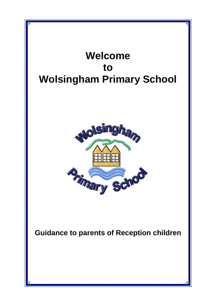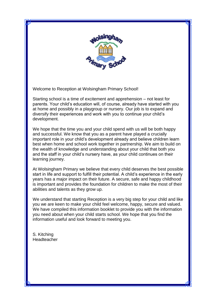

Welcome to Reception at Wolsingham Primary School!

Starting school is a time of excitement and apprehension – not least for parents. Your child's education will, of course, already have started with you at home and possibly in a playgroup or nursery. Our job is to expand and diversify their experiences and work with you to continue your child's development.

We hope that the time you and your child spend with us will be both happy and successful. We know that you as a parent have played a crucially important role in your child's development already and believe children learn best when home and school work together in partnership. We aim to build on the wealth of knowledge and understanding about your child that both you and the staff in your child's nursery have, as your child continues on their learning journey.

At Wolsingham Primary we believe that every child deserves the best possible start in life and support to fulfill their potential. A child's experience in the early years has a major impact on their future. A secure, safe and happy childhood is important and provides the foundation for children to make the most of their abilities and talents as they grow up.

We understand that starting Reception is a very big step for your child and like you we are keen to make your child feel welcome, happy, secure and valued. We have compiled this information booklet to provide you with the information you need about when your child starts school. We hope that you find the information useful and look forward to meeting you.

S. Kitching Headteacher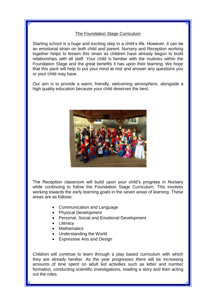## The Foundation Stage Curriculum

Starting school is a huge and exciting step in a child's life. However, it can be an emotional strain on both child and parent. Nursery and Reception working together helps to lessen this strain as children have already begun to build relationships with all staff. Your child is familiar with the routines within the Foundation Stage and the great benefits it has upon their learning. We hope that this pack will help to put your mind at rest and answer any questions you or your child may have.

Our aim is to provide a warm, friendly, welcoming atmosphere, alongside a high quality education because your child deserves the best.



The Reception classroom will build upon your child's progress in Nursery while continuing to follow the Foundation Stage Curriculum. This involves working towards the early learning goals in the seven areas of learning. These areas are as follows:

- Communication and Language
- Physical Development
- Personal, Social and Emotional Development
- Literacy
- Mathematics
- Understanding the World
- Expressive Arts and Design

Children will continue to learn through a play based curriculum with which they are already familiar. As the year progresses there will be increasing amounts of time spent on adult led activities such as letter and number formation, conducting scientific investigations, reading a story and then acting out the roles.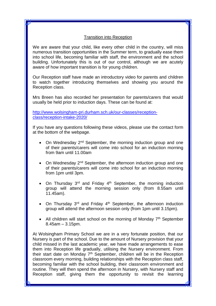## Transition into Reception

We are aware that your child, like every other child in the country, will miss numerous transition opportunities in the Summer term, to gradually ease them into school life, becoming familiar with staff, the environment and the school building. Unfortunately this is out of our control, although we are acutely aware of how important transition is for young children.

Our Reception staff have made an introductory video for parents and children to watch together introducing themselves and showing you around the Reception class.

Mrs Breen has also recorded her presentation for parents/carers that would usually be held prior to induction days. These can be found at:

[http://www.wolsingham-pri.durham.sch.uk/our-classes/reception](http://www.wolsingham-pri.durham.sch.uk/our-classes/reception-class/reception-intake-2020/)[class/reception-intake-2020/](http://www.wolsingham-pri.durham.sch.uk/our-classes/reception-class/reception-intake-2020/)

If you have any questions following these videos, please use the contact form at the bottom of the webpage.

- On Wednesday  $2^{nd}$  September, the morning induction group and one of their parents/carers will come into school for an induction morning from 9am until 11.00am
- On Wednesday 2<sup>nd</sup> September, the afternoon induction group and one of their parents/carers will come into school for an induction morning from 1pm until 3pm.
- $\bullet$  On Thursday 3<sup>rd</sup> and Friday 4<sup>th</sup> September, the morning induction group will attend the morning session only (from 8.55am until 11.45am).
- On Thursday  $3<sup>rd</sup>$  and Friday  $4<sup>th</sup>$  September, the afternoon induction group will attend the afternoon session only (from 1pm until 3.15pm).
- All children will start school on the morning of Monday  $7<sup>th</sup>$  September 8.45am – 3.15pm.

At Wolsingham Primary School we are in a very fortunate position, that our Nursery is part of the school. Due to the amount of Nursery provision that your child missed in the last academic year, we have made arrangements to ease them into Reception life gradually, utilising the Nursery environment. From their start date on Monday  $7<sup>th</sup>$  September, children will be in the Reception classroom every morning, building relationships with the Reception class staff, becoming familiar with the school building, their classroom environment and routine. They will then spend the afternoon in Nursery, with Nursery staff and Reception staff, giving them the opportunity to revisit the learning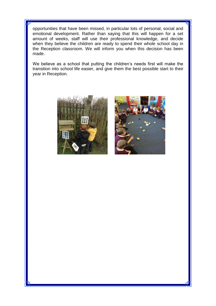opportunities that have been missed, in particular lots of personal, social and emotional development. Rather than saying that this will happen for a set amount of weeks, staff will use their professional knowledge, and decide when they believe the children are ready to spend their whole school day in the Reception classroom. We will inform you when this decision has been made.

We believe as a school that putting the children's needs first will make the transition into school life easier, and give them the best possible start to their year in Reception.



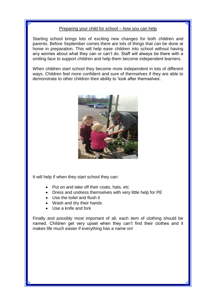## Preparing your child for school – how you can help

Starting school brings lots of exciting new changes for both children and parents. Before September comes there are lots of things that can be done at home in preparation. This will help ease children into school without having any worries about what they can or can't do. Staff will always be there with a smiling face to support children and help them become independent learners.

When children start school they become more independent in lots of different ways. Children feel more confident and sure of themselves if they are able to demonstrate to other children their ability to 'look after themselves'.



It will help if when they start school they can:

- Put on and take off their coats, hats, etc
- Dress and undress themselves with very little help for PE
- Use the toilet and flush it
- Wash and dry their hands
- Use a knife and fork

Finally and possibly most important of all, each item of clothing should be named. Children get very upset when they can't find their clothes and it makes life much easier if everything has a name on!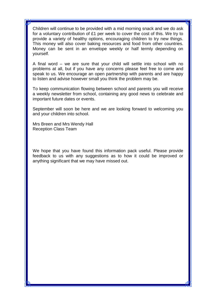Children will continue to be provided with a mid morning snack and we do ask for a voluntary contribution of £1 per week to cover the cost of this. We try to provide a variety of healthy options, encouraging children to try new things. This money will also cover baking resources and food from other countries. Money can be sent in an envelope weekly or half termly depending on yourself.

A final word – we are sure that your child will settle into school with no problems at all, but if you have any concerns please feel free to come and speak to us. We encourage an open partnership with parents and are happy to listen and advise however small you think the problem may be.

To keep communication flowing between school and parents you will receive a weekly newsletter from school, containing any good news to celebrate and important future dates or events.

September will soon be here and we are looking forward to welcoming you and your children into school.

Mrs Breen and Mrs Wendy Hall Reception Class Team

We hope that you have found this information pack useful. Please provide feedback to us with any suggestions as to how it could be improved or anything significant that we may have missed out.